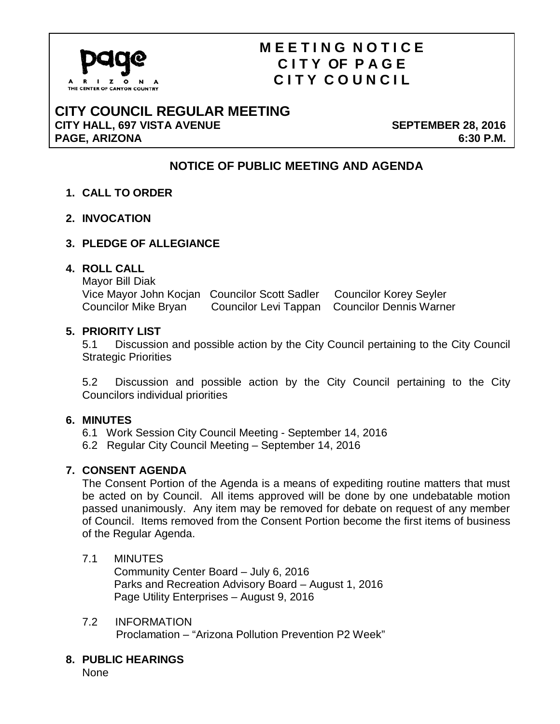

# **M E E T I N G N O T I C E C I T Y OF P A G E C I T Y C O U N C I L**

### **CITY COUNCIL REGULAR MEETING CITY HALL, 697 VISTA AVENUE SEPTEMBER 28, 2016** PAGE, ARIZONA 6:30 P.M.

## **NOTICE OF PUBLIC MEETING AND AGENDA**

- **1. CALL TO ORDER**
- **2. INVOCATION**
- **3. PLEDGE OF ALLEGIANCE**

#### **4. ROLL CALL**

Mayor Bill Diak Vice Mayor John Kocjan Councilor Scott Sadler Councilor Korey Seyler Councilor Mike Bryan Councilor Levi Tappan Councilor Dennis Warner

#### **5. PRIORITY LIST**

5.1 Discussion and possible action by the City Council pertaining to the City Council Strategic Priorities

5.2 Discussion and possible action by the City Council pertaining to the City Councilors individual priorities

#### **6. MINUTES**

- 6.1 Work Session City Council Meeting September 14, 2016
- 6.2 Regular City Council Meeting September 14, 2016

#### **7. CONSENT AGENDA**

The Consent Portion of the Agenda is a means of expediting routine matters that must be acted on by Council. All items approved will be done by one undebatable motion passed unanimously. Any item may be removed for debate on request of any member of Council. Items removed from the Consent Portion become the first items of business of the Regular Agenda.

### 7.1 MINUTES

 Community Center Board – July 6, 2016 Parks and Recreation Advisory Board – August 1, 2016 Page Utility Enterprises – August 9, 2016

## 7.2 INFORMATION

Proclamation – "Arizona Pollution Prevention P2 Week"

#### **8. PUBLIC HEARINGS**

None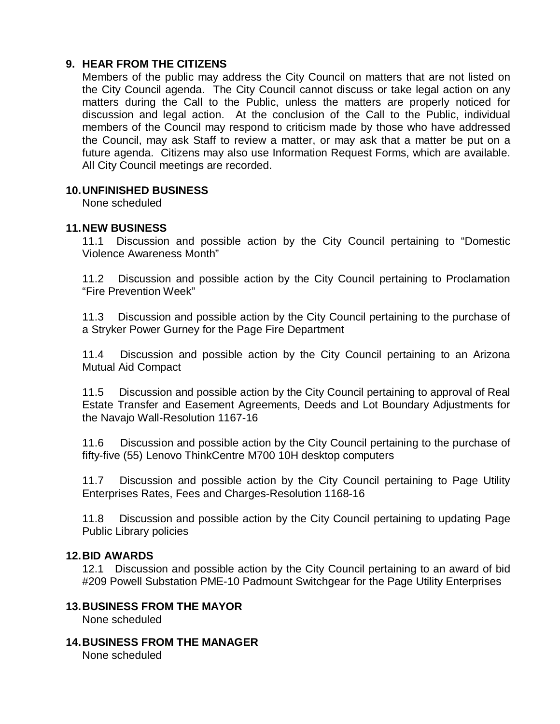#### **9. HEAR FROM THE CITIZENS**

Members of the public may address the City Council on matters that are not listed on the City Council agenda. The City Council cannot discuss or take legal action on any matters during the Call to the Public, unless the matters are properly noticed for discussion and legal action. At the conclusion of the Call to the Public, individual members of the Council may respond to criticism made by those who have addressed the Council, may ask Staff to review a matter, or may ask that a matter be put on a future agenda. Citizens may also use Information Request Forms, which are available. All City Council meetings are recorded.

#### **10.UNFINISHED BUSINESS**

None scheduled

#### **11.NEW BUSINESS**

11.1 Discussion and possible action by the City Council pertaining to "Domestic Violence Awareness Month"

11.2 Discussion and possible action by the City Council pertaining to Proclamation "Fire Prevention Week"

11.3 Discussion and possible action by the City Council pertaining to the purchase of a Stryker Power Gurney for the Page Fire Department

11.4 Discussion and possible action by the City Council pertaining to an Arizona Mutual Aid Compact

11.5 Discussion and possible action by the City Council pertaining to approval of Real Estate Transfer and Easement Agreements, Deeds and Lot Boundary Adjustments for the Navajo Wall-Resolution 1167-16

11.6 Discussion and possible action by the City Council pertaining to the purchase of fifty-five (55) Lenovo ThinkCentre M700 10H desktop computers

11.7 Discussion and possible action by the City Council pertaining to Page Utility Enterprises Rates, Fees and Charges-Resolution 1168-16

11.8 Discussion and possible action by the City Council pertaining to updating Page Public Library policies

#### **12.BID AWARDS**

12.1 Discussion and possible action by the City Council pertaining to an award of bid #209 Powell Substation PME-10 Padmount Switchgear for the Page Utility Enterprises

#### **13.BUSINESS FROM THE MAYOR**

None scheduled

**14.BUSINESS FROM THE MANAGER**

None scheduled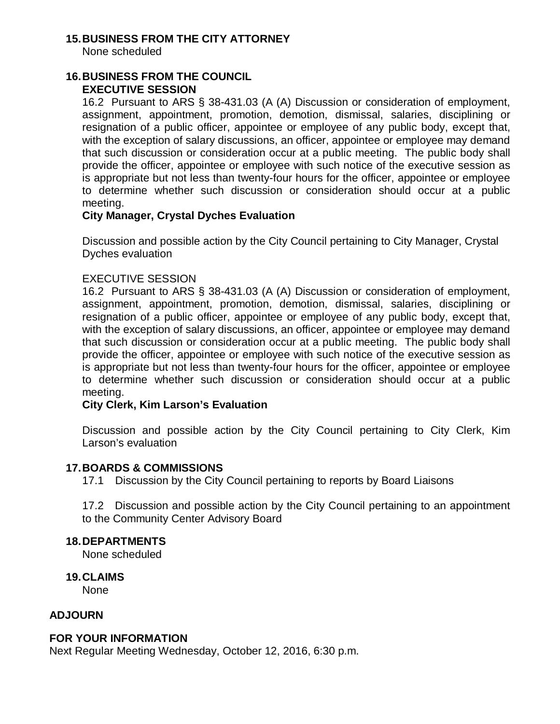#### **15.BUSINESS FROM THE CITY ATTORNEY**

None scheduled

#### **16.BUSINESS FROM THE COUNCIL EXECUTIVE SESSION**

16.2 Pursuant to ARS § 38-431.03 (A (A) Discussion or consideration of employment, assignment, appointment, promotion, demotion, dismissal, salaries, disciplining or resignation of a public officer, appointee or employee of any public body, except that, with the exception of salary discussions, an officer, appointee or employee may demand that such discussion or consideration occur at a public meeting. The public body shall provide the officer, appointee or employee with such notice of the executive session as is appropriate but not less than twenty-four hours for the officer, appointee or employee to determine whether such discussion or consideration should occur at a public meeting.

#### **City Manager, Crystal Dyches Evaluation**

Discussion and possible action by the City Council pertaining to City Manager, Crystal Dyches evaluation

#### EXECUTIVE SESSION

16.2 Pursuant to ARS § 38-431.03 (A (A) Discussion or consideration of employment, assignment, appointment, promotion, demotion, dismissal, salaries, disciplining or resignation of a public officer, appointee or employee of any public body, except that, with the exception of salary discussions, an officer, appointee or employee may demand that such discussion or consideration occur at a public meeting. The public body shall provide the officer, appointee or employee with such notice of the executive session as is appropriate but not less than twenty-four hours for the officer, appointee or employee to determine whether such discussion or consideration should occur at a public meeting.

### **City Clerk, Kim Larson's Evaluation**

Discussion and possible action by the City Council pertaining to City Clerk, Kim Larson's evaluation

#### **17.BOARDS & COMMISSIONS**

17.1 Discussion by the City Council pertaining to reports by Board Liaisons

17.2 Discussion and possible action by the City Council pertaining to an appointment to the Community Center Advisory Board

#### **18.DEPARTMENTS**

None scheduled

**19.CLAIMS**

None

#### **ADJOURN**

#### **FOR YOUR INFORMATION**

Next Regular Meeting Wednesday, October 12, 2016, 6:30 p.m.